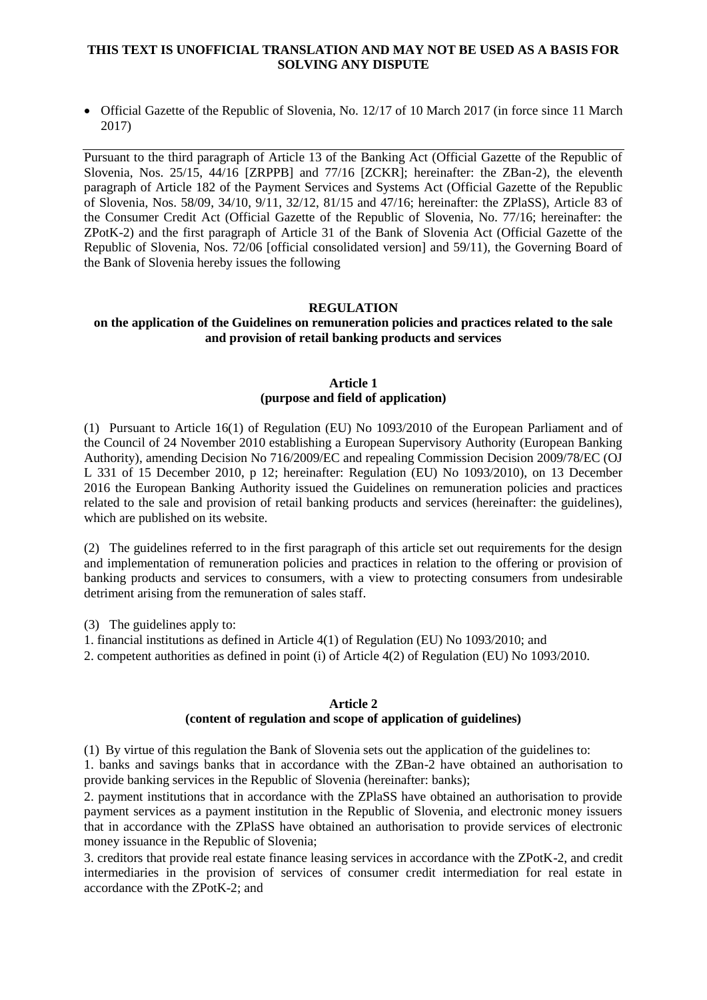## **THIS TEXT IS UNOFFICIAL TRANSLATION AND MAY NOT BE USED AS A BASIS FOR SOLVING ANY DISPUTE**

 Official Gazette of the Republic of Slovenia, No. 12/17 of 10 March 2017 (in force since 11 March 2017)

Pursuant to the third paragraph of Article 13 of the Banking Act (Official Gazette of the Republic of Slovenia, Nos. 25/15, 44/16 [ZRPPB] and 77/16 [ZCKR]; hereinafter: the ZBan-2), the eleventh paragraph of Article 182 of the Payment Services and Systems Act (Official Gazette of the Republic of Slovenia, Nos. 58/09, 34/10, 9/11, 32/12, 81/15 and 47/16; hereinafter: the ZPlaSS), Article 83 of the Consumer Credit Act (Official Gazette of the Republic of Slovenia, No. 77/16; hereinafter: the ZPotK-2) and the first paragraph of Article 31 of the Bank of Slovenia Act (Official Gazette of the Republic of Slovenia, Nos. 72/06 [official consolidated version] and 59/11), the Governing Board of the Bank of Slovenia hereby issues the following

### **REGULATION**

## **on the application of the Guidelines on remuneration policies and practices related to the sale and provision of retail banking products and services**

### **Article 1 (purpose and field of application)**

(1) Pursuant to Article 16(1) of Regulation (EU) No 1093/2010 of the European Parliament and of the Council of 24 November 2010 establishing a European Supervisory Authority (European Banking Authority), amending Decision No 716/2009/EC and repealing Commission Decision 2009/78/EC (OJ L 331 of 15 December 2010, p 12; hereinafter: Regulation (EU) No 1093/2010), on 13 December 2016 the European Banking Authority issued the Guidelines on remuneration policies and practices related to the sale and provision of retail banking products and services (hereinafter: the guidelines), which are published on its website.

(2) The guidelines referred to in the first paragraph of this article set out requirements for the design and implementation of remuneration policies and practices in relation to the offering or provision of banking products and services to consumers, with a view to protecting consumers from undesirable detriment arising from the remuneration of sales staff.

(3) The guidelines apply to:

1. financial institutions as defined in Article 4(1) of Regulation (EU) No 1093/2010; and

2. competent authorities as defined in point (i) of Article 4(2) of Regulation (EU) No 1093/2010.

#### **Article 2**

## **(content of regulation and scope of application of guidelines)**

(1) By virtue of this regulation the Bank of Slovenia sets out the application of the guidelines to: 1. banks and savings banks that in accordance with the ZBan-2 have obtained an authorisation to provide banking services in the Republic of Slovenia (hereinafter: banks);

2. payment institutions that in accordance with the ZPlaSS have obtained an authorisation to provide payment services as a payment institution in the Republic of Slovenia, and electronic money issuers that in accordance with the ZPlaSS have obtained an authorisation to provide services of electronic money issuance in the Republic of Slovenia;

3. creditors that provide real estate finance leasing services in accordance with the ZPotK-2, and credit intermediaries in the provision of services of consumer credit intermediation for real estate in accordance with the ZPotK-2; and